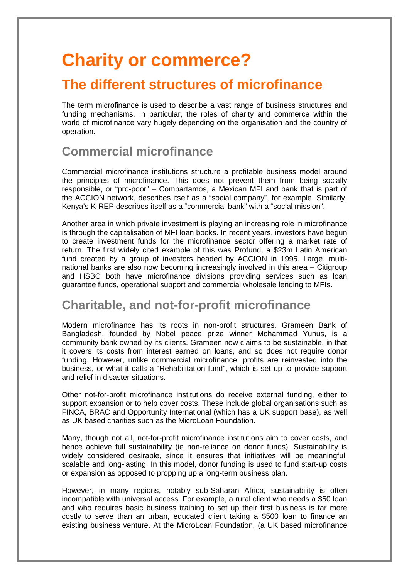# **Charity or commerce?**

## **The different structures of microfinance**

The term microfinance is used to describe a vast range of business structures and funding mechanisms. In particular, the roles of charity and commerce within the world of microfinance vary hugely depending on the organisation and the country of operation.

### **Commercial microfinance**

Commercial microfinance institutions structure a profitable business model around the principles of microfinance. This does not prevent them from being socially responsible, or "pro-poor" – Compartamos, a Mexican MFI and bank that is part of the ACCION network, describes itself as a "social company", for example. Similarly, Kenya's K-REP describes itself as a "commercial bank" with a "social mission".

Another area in which private investment is playing an increasing role in microfinance is through the capitalisation of MFI loan books. In recent years, investors have begun to create investment funds for the microfinance sector offering a market rate of return. The first widely cited example of this was Profund, a \$23m Latin American fund created by a group of investors headed by ACCION in 1995. Large, multinational banks are also now becoming increasingly involved in this area – Citigroup and HSBC both have microfinance divisions providing services such as loan guarantee funds, operational support and commercial wholesale lending to MFIs.

#### **Charitable, and not-for-profit microfinance**

Modern microfinance has its roots in non-profit structures. Grameen Bank of Bangladesh, founded by Nobel peace prize winner Mohammad Yunus, is a community bank owned by its clients. Grameen now claims to be sustainable, in that it covers its costs from interest earned on loans, and so does not require donor funding. However, unlike commercial microfinance, profits are reinvested into the business, or what it calls a "Rehabilitation fund", which is set up to provide support and relief in disaster situations.

Other not-for-profit microfinance institutions do receive external funding, either to support expansion or to help cover costs. These include global organisations such as FINCA, BRAC and Opportunity International (which has a UK support base), as well as UK based charities such as the MicroLoan Foundation.

Many, though not all, not-for-profit microfinance institutions aim to cover costs, and hence achieve full sustainability (ie non-reliance on donor funds). Sustainability is widely considered desirable, since it ensures that initiatives will be meaningful, scalable and long-lasting. In this model, donor funding is used to fund start-up costs or expansion as opposed to propping up a long-term business plan.

However, in many regions, notably sub-Saharan Africa, sustainability is often incompatible with universal access. For example, a rural client who needs a \$50 loan and who requires basic business training to set up their first business is far more costly to serve than an urban, educated client taking a \$500 loan to finance an existing business venture. At the MicroLoan Foundation, (a UK based microfinance